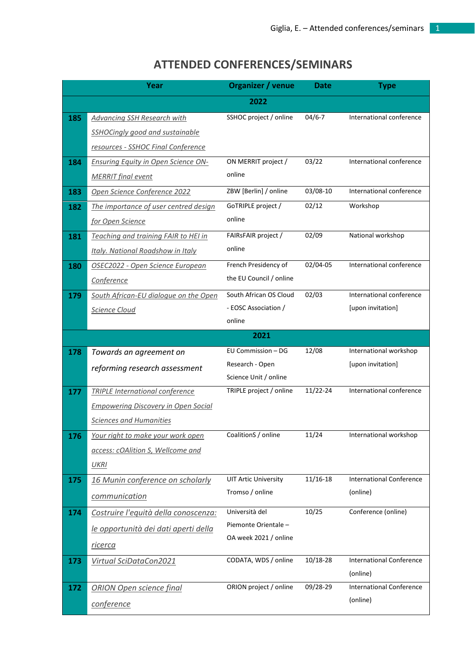## **ATTENDED CONFERENCES/SEMINARS**

|     | Year                                       | Organizer / venue                              | <b>Date</b>  | <b>Type</b>                                 |
|-----|--------------------------------------------|------------------------------------------------|--------------|---------------------------------------------|
|     |                                            | 2022                                           |              |                                             |
| 185 | <b>Advancing SSH Research with</b>         | SSHOC project / online                         | $04/6 - 7$   | International conference                    |
|     | <b>SSHOCingly good and sustainable</b>     |                                                |              |                                             |
|     | resources - SSHOC Final Conference         |                                                |              |                                             |
| 184 | <b>Ensuring Equity in Open Science ON-</b> | ON MERRIT project /                            | 03/22        | International conference                    |
|     | <b>MERRIT</b> final event                  | online                                         |              |                                             |
| 183 | Open Science Conference 2022               | ZBW [Berlin] / online                          | 03/08-10     | International conference                    |
| 182 | The importance of user centred design      | GoTRIPLE project /                             | 02/12        | Workshop                                    |
|     | for Open Science                           | online                                         |              |                                             |
| 181 | Teaching and training FAIR to HEI in       | FAIRsFAIR project /                            | 02/09        | National workshop                           |
|     | Italy. National Roadshow in Italy          | online                                         |              |                                             |
| 180 | OSEC2022 - Open Science European           | French Presidency of                           | 02/04-05     | International conference                    |
|     | Conference                                 | the EU Council / online                        |              |                                             |
| 179 | South African-EU dialogue on the Open      | South African OS Cloud                         | 02/03        | International conference                    |
|     | Science Cloud                              | - EOSC Association /                           |              | [upon invitation]                           |
|     |                                            | online                                         |              |                                             |
|     |                                            | 2021                                           |              |                                             |
| 178 | Towards an agreement on                    | EU Commission - DG                             | 12/08        | International workshop                      |
|     | reforming research assessment              | Research - Open                                |              | [upon invitation]                           |
|     |                                            | Science Unit / online                          |              | International conference                    |
| 177 | <b>TRIPLE International conference</b>     | TRIPLE project / online                        | 11/22-24     |                                             |
|     | <b>Empowering Discovery in Open Social</b> |                                                |              |                                             |
|     | <b>Sciences and Humanities</b>             |                                                |              |                                             |
| 176 | Your right to make your work open          | CoalitionS / online                            | 11/24        | International workshop                      |
|     | access: cOAlition S, Wellcome and          |                                                |              |                                             |
|     | <b>UKRI</b>                                |                                                |              |                                             |
| 175 | 16 Munin conference on scholarly           | <b>UIT Artic University</b><br>Tromso / online | $11/16 - 18$ | <b>International Conference</b><br>(online) |
|     | communication                              |                                                |              |                                             |
| 174 | Costruire l'equità della conoscenza:       | Università del                                 | 10/25        | Conference (online)                         |
|     | le opportunità dei dati aperti della       | Piemonte Orientale -                           |              |                                             |
|     | <u>ricerca</u>                             | OA week 2021 / online                          |              |                                             |
| 173 | Virtual SciDataCon2021                     | CODATA, WDS / online                           | 10/18-28     | <b>International Conference</b>             |
|     |                                            |                                                |              | (online)                                    |
| 172 | <b>ORION Open science final</b>            | ORION project / online                         | 09/28-29     | <b>International Conference</b>             |
|     | conference                                 |                                                |              | (online)                                    |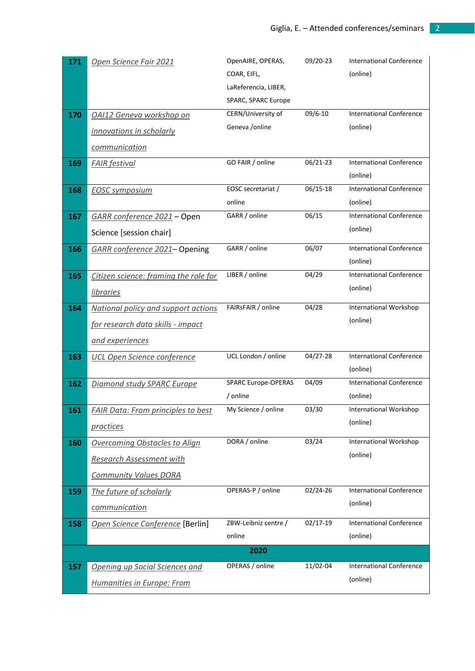| 171 | Open Science Fair 2021                    | OpenAIRE, OPERAS,<br>COAR, EIFL, | 09/20-23 | <b>International Conference</b><br>(online) |
|-----|-------------------------------------------|----------------------------------|----------|---------------------------------------------|
|     |                                           | LaReferencia, LIBER,             |          |                                             |
|     |                                           | SPARC, SPARC Europe              |          |                                             |
| 170 | OAI12 Geneva workshop on                  | CERN/University of               | 09/6-10  | <b>International Conference</b>             |
|     | innovations in scholarly                  | Geneva / online                  |          | (online)                                    |
|     | communication                             |                                  |          |                                             |
| 169 | <b>FAIR</b> festival                      | GO FAIR / online                 | 06/21-23 | <b>International Conference</b>             |
|     |                                           |                                  |          | (online)                                    |
| 168 | <b>EOSC symposium</b>                     | EOSC secretariat /               | 06/15-18 | <b>International Conference</b>             |
|     |                                           | online                           |          | (online)                                    |
| 167 | GARR conference 2021 - Open               | GARR / online                    | 06/15    | <b>International Conference</b>             |
|     | Science [session chair]                   |                                  |          | (online)                                    |
| 166 | GARR conference 2021-Opening              | GARR / online                    | 06/07    | <b>International Conference</b>             |
|     |                                           |                                  |          | (online)                                    |
| 165 | Citizen science: framing the role for     | LIBER / online                   | 04/29    | <b>International Conference</b>             |
|     | <i>libraries</i>                          |                                  |          | (online)                                    |
| 164 | National policy and support actions       | FAIRsFAIR / online               | 04/28    | International Workshop                      |
|     | <u>for research data skills - impact</u>  |                                  |          | (online)                                    |
|     | and experiences                           |                                  |          |                                             |
| 163 | <b>UCL Open Science conference</b>        | UCL London / online              | 04/27-28 | <b>International Conference</b>             |
|     |                                           |                                  |          | (online)                                    |
| 162 | Diamond study SPARC Europe                | SPARC Europe-OPERAS              | 04/09    | <b>International Conference</b>             |
| 161 | <b>FAIR Data: From principles to best</b> | / online<br>My Science / online  | 03/30    | (online)<br><b>International Workshop</b>   |
|     |                                           |                                  |          | (online)                                    |
|     | <i>practices</i>                          |                                  |          |                                             |
| 160 | <b>Overcoming Obstacles to Align</b>      | DORA / online                    | 03/24    | International Workshop                      |
|     | <b>Research Assessment with</b>           |                                  |          | (online)                                    |
|     | <b>Community Values DORA</b>              |                                  |          |                                             |
| 159 | The future of scholarly                   | OPERAS-P / online                | 02/24-26 | <b>International Conference</b>             |
|     | communication                             |                                  |          | (online)                                    |
| 158 | Open Science Conference [Berlin]          | ZBW-Leibniz centre /             | 02/17-19 | <b>International Conference</b>             |
|     |                                           | online                           |          | (online)                                    |
|     |                                           | 2020                             |          |                                             |
| 157 | Opening up Social Sciences and            | OPERAS / online                  | 11/02-04 | <b>International Conference</b>             |
|     | Humanities in Europe: From                |                                  |          | (online)                                    |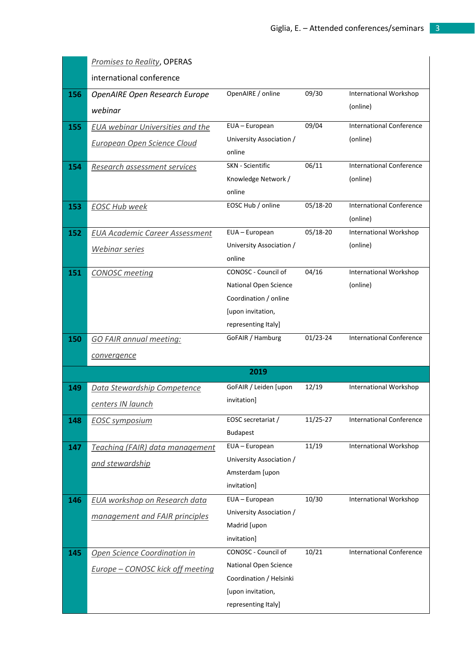|     | <b>Promises to Reality, OPERAS</b>      |                                            |          |                                 |
|-----|-----------------------------------------|--------------------------------------------|----------|---------------------------------|
|     | international conference                |                                            |          |                                 |
| 156 | <b>OpenAIRE Open Research Europe</b>    | OpenAIRE / online                          | 09/30    | International Workshop          |
|     | webinar                                 |                                            |          | (online)                        |
| 155 | <b>EUA webinar Universities and the</b> | EUA - European                             | 09/04    | <b>International Conference</b> |
|     | <b>European Open Science Cloud</b>      | University Association /                   |          | (online)                        |
|     |                                         | online                                     |          |                                 |
| 154 | Research assessment services            | <b>SKN</b> - Scientific                    | 06/11    | <b>International Conference</b> |
|     |                                         | Knowledge Network /                        |          | (online)                        |
|     |                                         | online<br>EOSC Hub / online                | 05/18-20 | <b>International Conference</b> |
| 153 | <b>EOSC Hub week</b>                    |                                            |          | (online)                        |
| 152 | <b>EUA Academic Career Assessment</b>   | EUA - European                             | 05/18-20 | <b>International Workshop</b>   |
|     |                                         | University Association /                   |          | (online)                        |
|     | <u>Webinar series</u>                   | online                                     |          |                                 |
| 151 | <b>CONOSC</b> meeting                   | CONOSC - Council of                        | 04/16    | International Workshop          |
|     |                                         | National Open Science                      |          | (online)                        |
|     |                                         | Coordination / online                      |          |                                 |
|     |                                         | [upon invitation,                          |          |                                 |
|     |                                         | representing Italy]                        |          |                                 |
|     |                                         |                                            |          |                                 |
| 150 | <b>GO FAIR annual meeting:</b>          | GoFAIR / Hamburg                           | 01/23-24 | <b>International Conference</b> |
|     | convergence                             |                                            |          |                                 |
|     |                                         | 2019                                       |          |                                 |
| 149 | Data Stewardship Competence             | GoFAIR / Leiden [upon                      | 12/19    | International Workshop          |
|     | centers IN launch                       | invitation]                                |          |                                 |
| 148 | <b>EOSC</b> symposium                   | EOSC secretariat /                         | 11/25-27 | <b>International Conference</b> |
|     |                                         | <b>Budapest</b>                            |          |                                 |
| 147 | Teaching (FAIR) data management         | EUA - European                             | 11/19    | <b>International Workshop</b>   |
|     | and stewardship                         | University Association /                   |          |                                 |
|     |                                         | Amsterdam [upon                            |          |                                 |
|     |                                         | invitation]                                |          |                                 |
| 146 | EUA workshop on Research data           | EUA - European<br>University Association / | 10/30    | International Workshop          |
|     | management and FAIR principles          | Madrid [upon                               |          |                                 |
|     |                                         | invitation]                                |          |                                 |
| 145 | Open Science Coordination in            | CONOSC - Council of                        | 10/21    | <b>International Conference</b> |
|     | <b>Europe - CONOSC kick off meeting</b> | National Open Science                      |          |                                 |
|     |                                         | Coordination / Helsinki                    |          |                                 |
|     |                                         | [upon invitation,<br>representing Italy]   |          |                                 |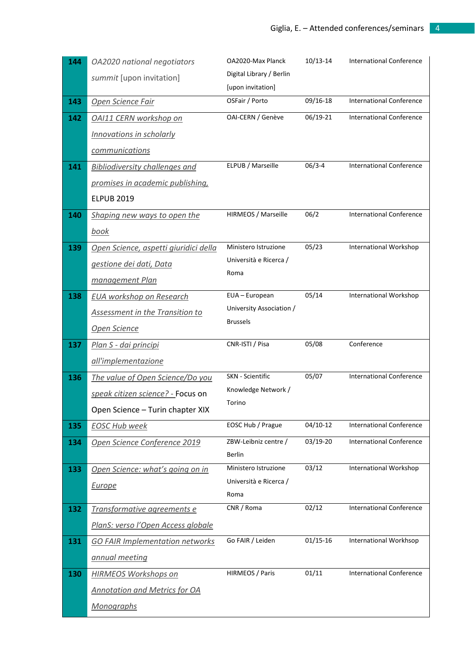| 144 | OA2020 national negotiators                               | OA2020-Max Planck        | $10/13 - 14$ | <b>International Conference</b> |
|-----|-----------------------------------------------------------|--------------------------|--------------|---------------------------------|
|     | summit [upon invitation]                                  | Digital Library / Berlin |              |                                 |
|     |                                                           | [upon invitation]        |              |                                 |
| 143 | Open Science Fair                                         | OSFair / Porto           | 09/16-18     | <b>International Conference</b> |
| 142 | OAI11 CERN workshop on                                    | OAI-CERN / Genève        | 06/19-21     | <b>International Conference</b> |
|     | <b>Innovations in scholarly</b>                           |                          |              |                                 |
|     | communications                                            |                          |              |                                 |
| 141 | <b>Bibliodiversity challenges and</b>                     | ELPUB / Marseille        | $06/3 - 4$   | <b>International Conference</b> |
|     | promises in academic publishing,                          |                          |              |                                 |
|     | <b>ELPUB 2019</b>                                         |                          |              |                                 |
| 140 | Shaping new ways to open the                              | HIRMEOS / Marseille      | 06/2         | <b>International Conference</b> |
|     | <u>book</u>                                               |                          |              |                                 |
| 139 | Open Science, aspetti giuridici della                     | Ministero Istruzione     | 05/23        | International Workshop          |
|     | gestione dei dati, Data                                   | Università e Ricerca /   |              |                                 |
|     | management Plan                                           | Roma                     |              |                                 |
| 138 | <b>EUA workshop on Research</b>                           | EUA - European           | 05/14        | International Workshop          |
|     | <b>Assessment in the Transition to</b>                    | University Association / |              |                                 |
|     | Open Science                                              | <b>Brussels</b>          |              |                                 |
| 137 | Plan S - dai principi                                     | CNR-ISTI / Pisa          | 05/08        | Conference                      |
|     | all'implementazione                                       |                          |              |                                 |
| 136 | The value of Open Science/Do you                          | SKN - Scientific         | 05/07        | <b>International Conference</b> |
|     |                                                           |                          |              |                                 |
|     | speak citizen science? - Focus on                         | Knowledge Network /      |              |                                 |
|     | Open Science - Turin chapter XIX                          | Torino                   |              |                                 |
| 135 | <b>EOSC Hub week</b>                                      | EOSC Hub / Prague        | $04/10-12$   | <b>International Conference</b> |
| 134 | Open Science Conference 2019                              | ZBW-Leibniz centre /     | 03/19-20     | <b>International Conference</b> |
|     |                                                           | Berlin                   |              |                                 |
| 133 | Open Science: what's going on in                          | Ministero Istruzione     | 03/12        | International Workshop          |
|     | <b>Europe</b>                                             | Università e Ricerca /   |              |                                 |
|     |                                                           | Roma<br>CNR / Roma       | 02/12        | <b>International Conference</b> |
| 132 | Transformative agreements e                               |                          |              |                                 |
|     | PlanS: verso l'Open Access globale                        | Go FAIR / Leiden         | $01/15-16$   |                                 |
| 131 | <b>GO FAIR Implementation networks</b>                    |                          |              | International Workhsop          |
|     | annual meeting                                            |                          |              |                                 |
| 130 | <b>HIRMEOS Workshops on</b>                               | HIRMEOS / Paris          | 01/11        | <b>International Conference</b> |
|     | <b>Annotation and Metrics for OA</b><br><b>Monographs</b> |                          |              |                                 |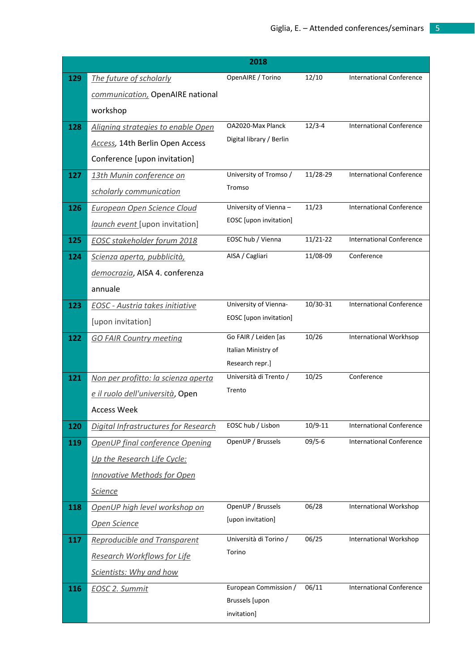|            |                                        | 2018                             |             |                                 |
|------------|----------------------------------------|----------------------------------|-------------|---------------------------------|
| 129        | The future of scholarly                | OpenAIRE / Torino                | 12/10       | <b>International Conference</b> |
|            | communication, OpenAIRE national       |                                  |             |                                 |
|            | workshop                               |                                  |             |                                 |
| 128        | Aligning strategies to enable Open     | OA2020-Max Planck                | $12/3 - 4$  | <b>International Conference</b> |
|            | Access, 14th Berlin Open Access        | Digital library / Berlin         |             |                                 |
|            | Conference [upon invitation]           |                                  |             |                                 |
| 127        | 13th Munin conference on               | University of Tromso /           | 11/28-29    | <b>International Conference</b> |
|            | scholarly communication                | Tromso                           |             |                                 |
| 126        | <b>European Open Science Cloud</b>     | University of Vienna -           | 11/23       | <b>International Conference</b> |
|            | launch event [upon invitation]         | EOSC [upon invitation]           |             |                                 |
| 125        | <b>EOSC stakeholder forum 2018</b>     | EOSC hub / Vienna                | 11/21-22    | <b>International Conference</b> |
| 124        | Scienza aperta, pubblicità,            | AISA / Cagliari                  | 11/08-09    | Conference                      |
|            | democrazia, AISA 4. conferenza         |                                  |             |                                 |
|            | annuale                                |                                  |             |                                 |
| 123        | <b>EOSC</b> - Austria takes initiative | University of Vienna-            | 10/30-31    | <b>International Conference</b> |
|            | [upon invitation]                      | EOSC [upon invitation]           |             |                                 |
| 122        | <b>GO FAIR Country meeting</b>         | Go FAIR / Leiden [as             | 10/26       | International Workhsop          |
|            |                                        | Italian Ministry of              |             |                                 |
|            |                                        | Research repr.]                  |             |                                 |
| 121        | Non per profitto: la scienza aperta    | Università di Trento /<br>Trento | 10/25       | Conference                      |
|            | e il ruolo dell'università, Open       |                                  |             |                                 |
|            | <b>Access Week</b>                     |                                  |             |                                 |
| 120        | Digital Infrastructures for Research   | EOSC hub / Lisbon                | $10/9 - 11$ | <b>International Conference</b> |
| 119        | OpenUP final conference Opening        | OpenUP / Brussels                | $09/5 - 6$  | <b>International Conference</b> |
|            | Up the Research Life Cycle:            |                                  |             |                                 |
|            | <b>Innovative Methods for Open</b>     |                                  |             |                                 |
|            | <b>Science</b>                         |                                  |             |                                 |
| 118        | OpenUP high level workshop on          | OpenUP / Brussels                | 06/28       | International Workshop          |
|            | <b>Open Science</b>                    | [upon invitation]                |             |                                 |
| 117        | <b>Reproducible and Transparent</b>    | Università di Torino /           | 06/25       | International Workshop          |
|            | <b>Research Workflows for Life</b>     | Torino                           |             |                                 |
|            | Scientists: Why and how                |                                  |             |                                 |
| <b>116</b> | <b>EOSC 2. Summit</b>                  | European Commission /            | 06/11       | <b>International Conference</b> |
|            |                                        | Brussels [upon                   |             |                                 |
|            |                                        | invitation]                      |             |                                 |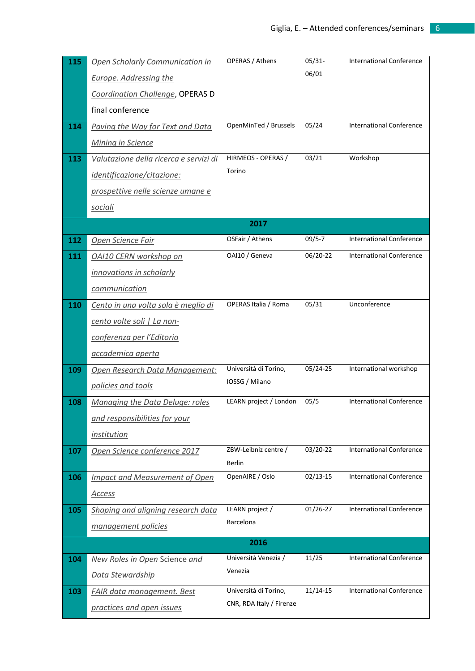| 115        | Open Scholarly Communication in        | <b>OPERAS / Athens</b>       | $05/31-$   | <b>International Conference</b> |
|------------|----------------------------------------|------------------------------|------------|---------------------------------|
|            | <b>Europe. Addressing the</b>          |                              | 06/01      |                                 |
|            | Coordination Challenge, OPERAS D       |                              |            |                                 |
|            | final conference                       |                              |            |                                 |
| 114        | Paving the Way for Text and Data       | OpenMinTed / Brussels        | 05/24      | <b>International Conference</b> |
|            | <b>Mining in Science</b>               |                              |            |                                 |
| 113        | Valutazione della ricerca e servizi di | HIRMEOS - OPERAS /           | 03/21      | Workshop                        |
|            | identificazione/citazione:             | Torino                       |            |                                 |
|            | prospettive nelle scienze umane e      |                              |            |                                 |
|            | <u>sociali</u>                         |                              |            |                                 |
|            |                                        | 2017                         |            |                                 |
| 112        | <b>Open Science Fair</b>               | OSFair / Athens              | $09/5 - 7$ | <b>International Conference</b> |
| <b>111</b> | OAI10 CERN workshop on                 | OAI10 / Geneva               | 06/20-22   | <b>International Conference</b> |
|            | innovations in scholarly               |                              |            |                                 |
|            | communication                          |                              |            |                                 |
| 110        | Cento in una volta sola è meglio di    | OPERAS Italia / Roma         | 05/31      | Unconference                    |
|            | cento volte soli   La non-             |                              |            |                                 |
|            | conferenza per l'Editoria              |                              |            |                                 |
|            | accademica aperta                      |                              |            |                                 |
| 109        | Open Research Data Management:         | Università di Torino,        | 05/24-25   | International workshop          |
|            | policies and tools                     | IOSSG / Milano               |            |                                 |
| 108        | Managing the Data Deluge: roles        | LEARN project / London       | 05/5       | <b>International Conference</b> |
|            | and responsibilities for your          |                              |            |                                 |
|            | institution                            |                              |            |                                 |
| 107        | Open Science conference 2017           | ZBW-Leibniz centre /         | 03/20-22   | <b>International Conference</b> |
|            |                                        | Berlin                       |            |                                 |
| 106        | <b>Impact and Measurement of Open</b>  | OpenAIRE / Oslo              | 02/13-15   | <b>International Conference</b> |
|            | <b>Access</b>                          |                              |            |                                 |
| 105        | Shaping and aligning research data     | LEARN project /<br>Barcelona | 01/26-27   | <b>International Conference</b> |
|            | management policies                    |                              |            |                                 |
|            |                                        | 2016                         |            |                                 |
| 104        | <b>New Roles in Open Science and</b>   | Università Venezia /         | 11/25      | International Conference        |
|            | Data Stewardship                       | Venezia                      |            |                                 |
| 103        | <b>FAIR data management. Best</b>      | Università di Torino,        | $11/14-15$ | <b>International Conference</b> |
|            | practices and open issues              | CNR, RDA Italy / Firenze     |            |                                 |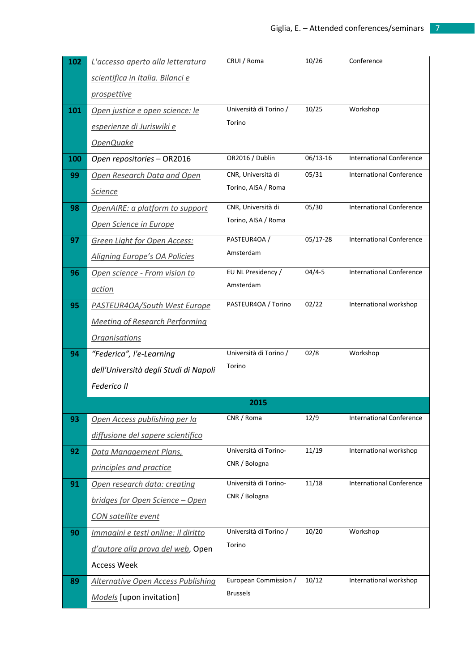| 102 | L'accesso aperto alla letteratura         | CRUI / Roma            | 10/26      | Conference                      |
|-----|-------------------------------------------|------------------------|------------|---------------------------------|
|     | scientifica in Italia. Bilanci e          |                        |            |                                 |
|     | <i>prospettive</i>                        |                        |            |                                 |
| 101 | Open justice e open science: le           | Università di Torino / | 10/25      | Workshop                        |
|     | esperienze di Juriswiki e                 | Torino                 |            |                                 |
|     | OpenQuake                                 |                        |            |                                 |
| 100 | Open repositories - OR2016                | OR2016 / Dublin        | 06/13-16   | <b>International Conference</b> |
| 99  | Open Research Data and Open               | CNR, Università di     | 05/31      | <b>International Conference</b> |
|     | <b>Science</b>                            | Torino, AISA / Roma    |            |                                 |
| 98  | OpenAIRE: a platform to support           | CNR, Università di     | 05/30      | <b>International Conference</b> |
|     | Open Science in Europe                    | Torino, AISA / Roma    |            |                                 |
| 97  | Green Light for Open Access:              | PASTEUR4OA /           | 05/17-28   | <b>International Conference</b> |
|     | <b>Aligning Europe's OA Policies</b>      | Amsterdam              |            |                                 |
| 96  | Open science - From vision to             | EU NL Presidency /     | $04/4 - 5$ | <b>International Conference</b> |
|     | <u>action</u>                             | Amsterdam              |            |                                 |
| 95  | PASTEUR4OA/South West Europe              | PASTEUR4OA / Torino    | 02/22      | International workshop          |
|     | <b>Meeting of Research Performing</b>     |                        |            |                                 |
|     | <b>Organisations</b>                      |                        |            |                                 |
| 94  | "Federica", l'e-Learning                  | Università di Torino / | 02/8       | Workshop                        |
|     | dell'Università degli Studi di Napoli     | Torino                 |            |                                 |
|     | <b>Federico II</b>                        |                        |            |                                 |
|     |                                           | 2015                   |            |                                 |
| 93  | Open Access publishing per la             | CNR / Roma             | 12/9       | <b>International Conference</b> |
|     | diffusione del sapere scientifico         |                        |            |                                 |
| 92  | Data Management Plans,                    | Università di Torino-  | 11/19      | International workshop          |
|     | principles and practice                   | CNR / Bologna          |            |                                 |
| 91  | Open research data: creating              | Università di Torino-  | 11/18      | <b>International Conference</b> |
|     | bridges for Open Science - Open           | CNR / Bologna          |            |                                 |
|     | <b>CON</b> satellite event                |                        |            |                                 |
| 90  | Immagini e testi online: il diritto       | Università di Torino / | 10/20      | Workshop                        |
|     | d'autore alla prova del web, Open         | Torino                 |            |                                 |
|     | <b>Access Week</b>                        |                        |            |                                 |
| 89  | <b>Alternative Open Access Publishing</b> | European Commission /  | 10/12      | International workshop          |
|     | Models [upon invitation]                  | <b>Brussels</b>        |            |                                 |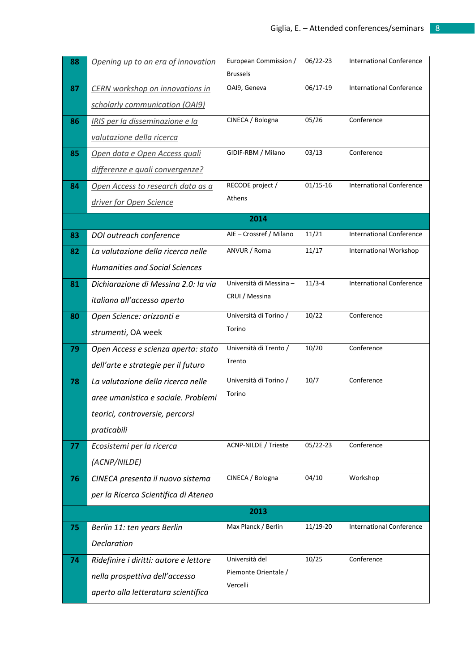| 88 | Opening up to an era of innovation     | European Commission /<br><b>Brussels</b> | 06/22-23     | <b>International Conference</b> |
|----|----------------------------------------|------------------------------------------|--------------|---------------------------------|
| 87 | <b>CERN</b> workshop on innovations in | OAI9, Geneva                             | 06/17-19     | <b>International Conference</b> |
|    | scholarly communication (OAI9)         |                                          |              |                                 |
| 86 | IRIS per la disseminazione e la        | CINECA / Bologna                         | 05/26        | Conference                      |
|    | valutazione della ricerca              |                                          |              |                                 |
| 85 | Open data e Open Access quali          | GIDIF-RBM / Milano                       | 03/13        | Conference                      |
|    | differenze e quali convergenze?        |                                          |              |                                 |
| 84 | Open Access to research data as a      | RECODE project /                         | $01/15 - 16$ | <b>International Conference</b> |
|    | driver for Open Science                | Athens                                   |              |                                 |
|    |                                        | 2014                                     |              |                                 |
| 83 | DOI outreach conference                | AIE - Crossref / Milano                  | 11/21        | <b>International Conference</b> |
| 82 | La valutazione della ricerca nelle     | ANVUR / Roma                             | 11/17        | International Workshop          |
|    | <b>Humanities and Social Sciences</b>  |                                          |              |                                 |
| 81 | Dichiarazione di Messina 2.0: la via   | Università di Messina -                  | $11/3 - 4$   | <b>International Conference</b> |
|    | italiana all'accesso aperto            | CRUI / Messina                           |              |                                 |
| 80 | Open Science: orizzonti e              | Università di Torino /                   | 10/22        | Conference                      |
|    | strumenti, OA week                     | Torino                                   |              |                                 |
| 79 | Open Access e scienza aperta: stato    | Università di Trento /                   | 10/20        | Conference                      |
|    | dell'arte e strategie per il futuro    | Trento                                   |              |                                 |
| 78 | La valutazione della ricerca nelle     | Università di Torino /                   | 10/7         | Conference                      |
|    | aree umanistica e sociale. Problemi    | Torino                                   |              |                                 |
|    | teorici, controversie, percorsi        |                                          |              |                                 |
|    | praticabili                            |                                          |              |                                 |
| 77 | Ecosistemi per la ricerca              | <b>ACNP-NILDE / Trieste</b>              | 05/22-23     | Conference                      |
|    | (ACNP/NILDE)                           |                                          |              |                                 |
| 76 | CINECA presenta il nuovo sistema       | CINECA / Bologna                         | 04/10        | Workshop                        |
|    | per la Ricerca Scientifica di Ateneo   |                                          |              |                                 |
|    |                                        | 2013                                     |              |                                 |
| 75 | Berlin 11: ten years Berlin            | Max Planck / Berlin                      | 11/19-20     | <b>International Conference</b> |
|    | Declaration                            |                                          |              |                                 |
| 74 | Ridefinire i diritti: autore e lettore | Università del                           | 10/25        | Conference                      |
|    | nella prospettiva dell'accesso         | Piemonte Orientale /<br>Vercelli         |              |                                 |
|    | aperto alla letteratura scientifica    |                                          |              |                                 |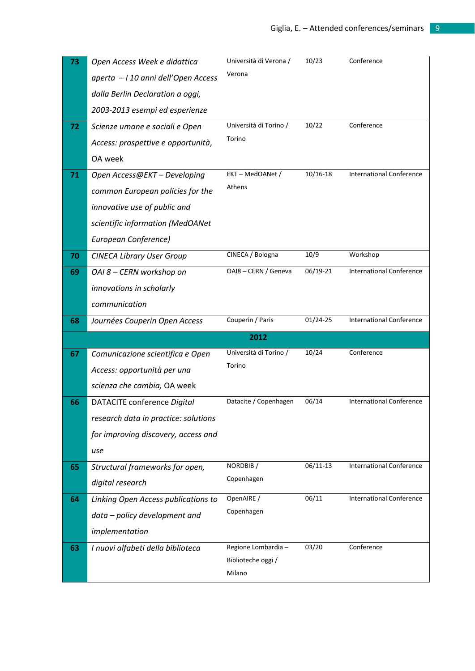| 73 | Open Access Week e didattica         | Università di Verona /<br>Verona | 10/23        | Conference                      |
|----|--------------------------------------|----------------------------------|--------------|---------------------------------|
|    | aperta - I 10 anni dell'Open Access  |                                  |              |                                 |
|    | dalla Berlin Declaration a oggi,     |                                  |              |                                 |
|    | 2003-2013 esempi ed esperienze       |                                  |              |                                 |
| 72 | Scienze umane e sociali e Open       | Università di Torino /           | 10/22        | Conference                      |
|    | Access: prospettive e opportunità,   | Torino                           |              |                                 |
|    | OA week                              |                                  |              |                                 |
| 71 | Open Access@EKT - Developing         | EKT-MedOANet /                   | $10/16 - 18$ | <b>International Conference</b> |
|    | common European policies for the     | Athens                           |              |                                 |
|    | innovative use of public and         |                                  |              |                                 |
|    | scientific information (MedOANet     |                                  |              |                                 |
|    | European Conference)                 |                                  |              |                                 |
| 70 | <b>CINECA Library User Group</b>     | CINECA / Bologna                 | 10/9         | Workshop                        |
| 69 | OAI 8 - CERN workshop on             | OAI8 - CERN / Geneva             | 06/19-21     | <b>International Conference</b> |
|    | innovations in scholarly             |                                  |              |                                 |
|    | communication                        |                                  |              |                                 |
| 68 | Journées Couperin Open Access        | Couperin / Paris                 | 01/24-25     | <b>International Conference</b> |
|    |                                      |                                  |              |                                 |
|    |                                      | 2012                             |              |                                 |
| 67 | Comunicazione scientifica e Open     | Università di Torino /           | 10/24        | Conference                      |
|    | Access: opportunità per una          | Torino                           |              |                                 |
|    | scienza che cambia, OA week          |                                  |              |                                 |
| 66 | DATACITE conference Digital          | Datacite / Copenhagen            | 06/14        | <b>International Conference</b> |
|    | research data in practice: solutions |                                  |              |                                 |
|    | for improving discovery, access and  |                                  |              |                                 |
|    | use                                  |                                  |              |                                 |
| 65 | Structural frameworks for open,      | NORDBIB/                         | 06/11-13     | <b>International Conference</b> |
|    | digital research                     | Copenhagen                       |              |                                 |
| 64 | Linking Open Access publications to  | OpenAIRE /                       | 06/11        | <b>International Conference</b> |
|    | data - policy development and        | Copenhagen                       |              |                                 |
|    | implementation                       |                                  |              |                                 |
| 63 | I nuovi alfabeti della biblioteca    | Regione Lombardia -              | 03/20        | Conference                      |
|    |                                      | Biblioteche oggi /<br>Milano     |              |                                 |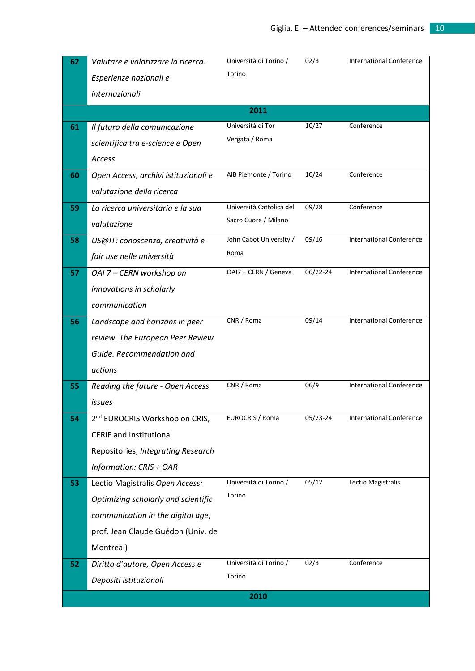| 62 | Valutare e valorizzare la ricerca.         | Università di Torino /   | 02/3     | <b>International Conference</b> |
|----|--------------------------------------------|--------------------------|----------|---------------------------------|
|    | Esperienze nazionali e                     | Torino                   |          |                                 |
|    | internazionali                             |                          |          |                                 |
|    |                                            | 2011                     |          |                                 |
| 61 | Il futuro della comunicazione              | Università di Tor        | 10/27    | Conference                      |
|    | scientifica tra e-science e Open           | Vergata / Roma           |          |                                 |
|    | Access                                     |                          |          |                                 |
| 60 | Open Access, archivi istituzionali e       | AIB Piemonte / Torino    | 10/24    | Conference                      |
|    | valutazione della ricerca                  |                          |          |                                 |
| 59 | La ricerca universitaria e la sua          | Università Cattolica del | 09/28    | Conference                      |
|    | valutazione                                | Sacro Cuore / Milano     |          |                                 |
| 58 | US@IT: conoscenza, creatività e            | John Cabot University /  | 09/16    | <b>International Conference</b> |
|    | fair use nelle università                  | Roma                     |          |                                 |
| 57 | OAI 7 - CERN workshop on                   | OAI7 - CERN / Geneva     | 06/22-24 | <b>International Conference</b> |
|    | innovations in scholarly                   |                          |          |                                 |
|    | communication                              |                          |          |                                 |
| 56 | Landscape and horizons in peer             | CNR / Roma               | 09/14    | <b>International Conference</b> |
|    | review. The European Peer Review           |                          |          |                                 |
|    | Guide. Recommendation and                  |                          |          |                                 |
|    | actions                                    |                          |          |                                 |
| 55 | Reading the future - Open Access           | CNR / Roma               | 06/9     | <b>International Conference</b> |
|    | issues                                     |                          |          |                                 |
| 54 | 2 <sup>nd</sup> EUROCRIS Workshop on CRIS, | EUROCRIS / Roma          | 05/23-24 | <b>International Conference</b> |
|    | <b>CERIF and Institutional</b>             |                          |          |                                 |
|    | Repositories, Integrating Research         |                          |          |                                 |
|    | Information: CRIS + OAR                    |                          |          |                                 |
| 53 | Lectio Magistralis Open Access:            | Università di Torino /   | 05/12    | Lectio Magistralis              |
|    | Optimizing scholarly and scientific        | Torino                   |          |                                 |
|    | communication in the digital age,          |                          |          |                                 |
|    | prof. Jean Claude Guédon (Univ. de         |                          |          |                                 |
|    | Montreal)                                  |                          |          |                                 |
| 52 | Diritto d'autore, Open Access e            | Università di Torino /   | 02/3     | Conference                      |
|    | Depositi Istituzionali                     | Torino                   |          |                                 |
|    |                                            | 2010                     |          |                                 |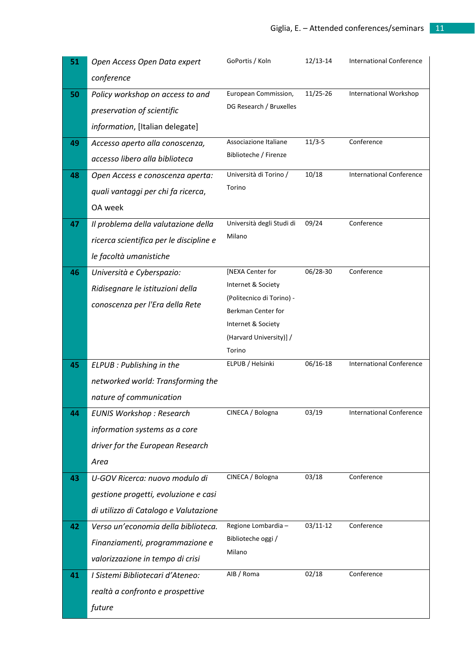| 51 | Open Access Open Data expert            | GoPortis / Koln                                 | 12/13-14   | <b>International Conference</b> |
|----|-----------------------------------------|-------------------------------------------------|------------|---------------------------------|
|    | conference                              |                                                 |            |                                 |
| 50 | Policy workshop on access to and        | European Commission,                            | 11/25-26   | <b>International Workshop</b>   |
|    | preservation of scientific              | DG Research / Bruxelles                         |            |                                 |
|    | information, [Italian delegate]         |                                                 |            |                                 |
| 49 | Accesso aperto alla conoscenza,         | Associazione Italiane                           | $11/3 - 5$ | Conference                      |
|    | accesso libero alla biblioteca          | Biblioteche / Firenze                           |            |                                 |
| 48 | Open Access e conoscenza aperta:        | Università di Torino /                          | 10/18      | <b>International Conference</b> |
|    | quali vantaggi per chi fa ricerca,      | Torino                                          |            |                                 |
|    | OA week                                 |                                                 |            |                                 |
| 47 | Il problema della valutazione della     | Università degli Studi di                       | 09/24      | Conference                      |
|    | ricerca scientifica per le discipline e | Milano                                          |            |                                 |
|    | le facoltà umanistiche                  |                                                 |            |                                 |
| 46 | Università e Cyberspazio:               | [NEXA Center for                                | 06/28-30   | Conference                      |
|    | Ridisegnare le istituzioni della        | Internet & Society                              |            |                                 |
|    | conoscenza per l'Era della Rete         | (Politecnico di Torino) -<br>Berkman Center for |            |                                 |
|    |                                         | Internet & Society                              |            |                                 |
|    |                                         | (Harvard University)] /                         |            |                                 |
|    |                                         | Torino                                          |            |                                 |
| 45 | ELPUB : Publishing in the               | ELPUB / Helsinki                                | 06/16-18   | <b>International Conference</b> |
|    | networked world: Transforming the       |                                                 |            |                                 |
|    | nature of communication                 |                                                 |            |                                 |
| 44 | <b>EUNIS Workshop: Research</b>         | CINECA / Bologna                                | 03/19      | <b>International Conference</b> |
|    | information systems as a core           |                                                 |            |                                 |
|    | driver for the European Research        |                                                 |            |                                 |
|    | Area                                    |                                                 |            |                                 |
| 43 | U-GOV Ricerca: nuovo modulo di          | CINECA / Bologna                                | 03/18      | Conference                      |
|    | gestione progetti, evoluzione e casi    |                                                 |            |                                 |
|    | di utilizzo di Catalogo e Valutazione   |                                                 |            |                                 |
| 42 | Verso un'economia della biblioteca.     | Regione Lombardia -                             | 03/11-12   | Conference                      |
|    | Finanziamenti, programmazione e         | Biblioteche oggi /                              |            |                                 |
|    | valorizzazione in tempo di crisi        | Milano                                          |            |                                 |
| 41 | I Sistemi Bibliotecari d'Ateneo:        | AIB / Roma                                      | 02/18      | Conference                      |
|    | realtà a confronto e prospettive        |                                                 |            |                                 |
|    | future                                  |                                                 |            |                                 |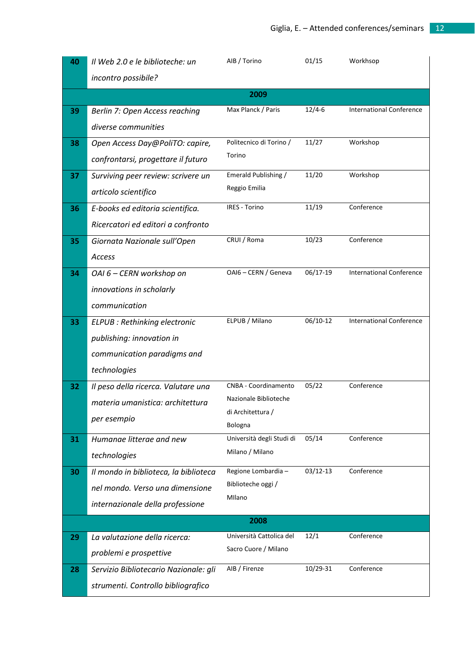| 40 | Il Web 2.0 e le biblioteche: un       | AIB / Torino                 | 01/15        | Workhsop                        |
|----|---------------------------------------|------------------------------|--------------|---------------------------------|
|    | incontro possibile?                   |                              |              |                                 |
|    |                                       | 2009                         |              |                                 |
| 39 | Berlin 7: Open Access reaching        | Max Planck / Paris           | $12/4 - 6$   | <b>International Conference</b> |
|    | diverse communities                   |                              |              |                                 |
| 38 | Open Access Day@PoliTO: capire,       | Politecnico di Torino /      | 11/27        | Workshop                        |
|    | confrontarsi, progettare il futuro    | Torino                       |              |                                 |
| 37 | Surviving peer review: scrivere un    | Emerald Publishing /         | 11/20        | Workshop                        |
|    | articolo scientifico                  | Reggio Emilia                |              |                                 |
| 36 | E-books ed editoria scientifica.      | IRES - Torino                | 11/19        | Conference                      |
|    | Ricercatori ed editori a confronto    |                              |              |                                 |
| 35 | Giornata Nazionale sull'Open          | CRUI / Roma                  | 10/23        | Conference                      |
|    | Access                                |                              |              |                                 |
| 34 | OAI 6 - CERN workshop on              | OAI6 - CERN / Geneva         | 06/17-19     | <b>International Conference</b> |
|    | innovations in scholarly              |                              |              |                                 |
|    | communication                         |                              |              |                                 |
| 33 | ELPUB : Rethinking electronic         | ELPUB / Milano               | 06/10-12     | <b>International Conference</b> |
|    | publishing: innovation in             |                              |              |                                 |
|    | communication paradigms and           |                              |              |                                 |
|    | technologies                          |                              |              |                                 |
| 32 | Il peso della ricerca. Valutare una   | CNBA - Coordinamento         | 05/22        | Conference                      |
|    | materia umanistica: architettura      | Nazionale Biblioteche        |              |                                 |
|    | per esempio                           | di Architettura /<br>Bologna |              |                                 |
| 31 | Humanae litterae and new              | Università degli Studi di    | 05/14        | Conference                      |
|    | technologies                          | Milano / Milano              |              |                                 |
| 30 | Il mondo in biblioteca, la biblioteca | Regione Lombardia -          | $03/12 - 13$ | Conference                      |
|    | nel mondo. Verso una dimensione       | Biblioteche oggi /           |              |                                 |
|    | internazionale della professione      | Milano                       |              |                                 |
|    |                                       | 2008                         |              |                                 |
| 29 | La valutazione della ricerca:         | Università Cattolica del     | 12/1         | Conference                      |
|    | problemi e prospettive                | Sacro Cuore / Milano         |              |                                 |
| 28 | Servizio Bibliotecario Nazionale: gli | AIB / Firenze                | 10/29-31     | Conference                      |
|    | strumenti. Controllo bibliografico    |                              |              |                                 |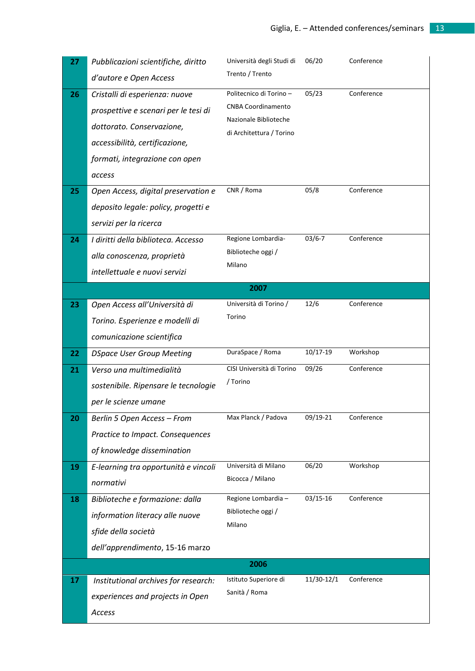| 27 | Pubblicazioni scientifiche, diritto  | Università degli Studi di                          | 06/20      | Conference |
|----|--------------------------------------|----------------------------------------------------|------------|------------|
|    | d'autore e Open Access               | Trento / Trento                                    |            |            |
| 26 | Cristalli di esperienza: nuove       | Politecnico di Torino-                             | 05/23      | Conference |
|    | prospettive e scenari per le tesi di | <b>CNBA Coordinamento</b><br>Nazionale Biblioteche |            |            |
|    | dottorato. Conservazione,            | di Architettura / Torino                           |            |            |
|    | accessibilità, certificazione,       |                                                    |            |            |
|    | formati, integrazione con open       |                                                    |            |            |
|    | access                               |                                                    |            |            |
| 25 | Open Access, digital preservation e  | CNR / Roma                                         | 05/8       | Conference |
|    | deposito legale: policy, progetti e  |                                                    |            |            |
|    | servizi per la ricerca               |                                                    |            |            |
| 24 | I diritti della biblioteca. Accesso  | Regione Lombardia-                                 | $03/6 - 7$ | Conference |
|    | alla conoscenza, proprietà           | Biblioteche oggi /                                 |            |            |
|    | intellettuale e nuovi servizi        | Milano                                             |            |            |
|    |                                      | 2007                                               |            |            |
| 23 | Open Access all'Università di        | Università di Torino /                             | 12/6       | Conference |
|    | Torino. Esperienze e modelli di      | Torino                                             |            |            |
|    | comunicazione scientifica            |                                                    |            |            |
| 22 | <b>DSpace User Group Meeting</b>     | DuraSpace / Roma                                   | 10/17-19   | Workshop   |
| 21 | Verso una multimedialità             | CISI Università di Torino                          | 09/26      | Conference |
|    | sostenibile. Ripensare le tecnologie | / Torino                                           |            |            |
|    | per le scienze umane                 |                                                    |            |            |
| 20 | Berlin 5 Open Access - From          | Max Planck / Padova                                | 09/19-21   | Conference |
|    | Practice to Impact. Consequences     |                                                    |            |            |
|    | of knowledge dissemination           |                                                    |            |            |
| 19 | E-learning tra opportunità e vincoli | Università di Milano                               | 06/20      | Workshop   |
|    | normativi                            | Bicocca / Milano                                   |            |            |
| 18 | Biblioteche e formazione: dalla      | Regione Lombardia -                                | 03/15-16   | Conference |
|    | information literacy alle nuove      | Biblioteche oggi /                                 |            |            |
|    | sfide della società                  | Milano                                             |            |            |
|    | dell'apprendimento, 15-16 marzo      |                                                    |            |            |
|    |                                      | 2006                                               |            |            |
| 17 | Institutional archives for research: | Istituto Superiore di                              | 11/30-12/1 | Conference |
|    | experiences and projects in Open     | Sanità / Roma                                      |            |            |
|    | Access                               |                                                    |            |            |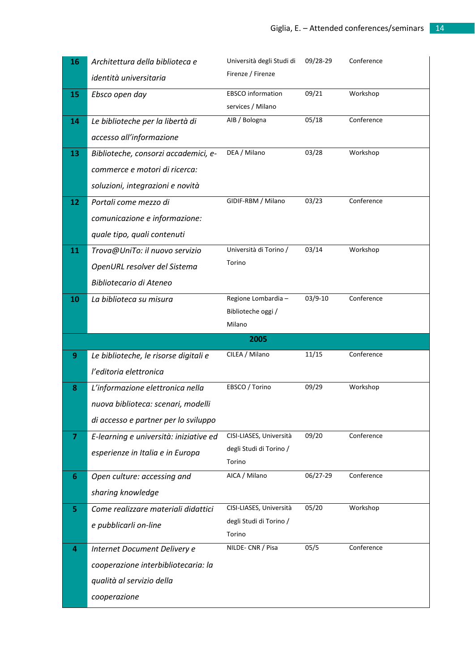| 16 | Architettura della biblioteca e           | Università degli Studi di         | 09/28-29 | Conference |
|----|-------------------------------------------|-----------------------------------|----------|------------|
|    | identità universitaria                    | Firenze / Firenze                 |          |            |
| 15 | Ebsco open day                            | <b>EBSCO</b> information          | 09/21    | Workshop   |
|    |                                           | services / Milano                 |          |            |
| 14 | Le biblioteche per la libertà di          | AIB / Bologna                     | 05/18    | Conference |
|    | accesso all'informazione                  |                                   |          |            |
| 13 | Biblioteche, consorzi accademici, e-      | DEA / Milano                      | 03/28    | Workshop   |
|    | commerce e motori di ricerca:             |                                   |          |            |
|    | soluzioni, integrazioni e novità          |                                   |          |            |
| 12 | Portali come mezzo di                     | GIDIF-RBM / Milano                | 03/23    | Conference |
|    | comunicazione e informazione:             |                                   |          |            |
|    | quale tipo, quali contenuti               |                                   |          |            |
| 11 | Trova@UniTo: il nuovo servizio            | Università di Torino /            | 03/14    | Workshop   |
|    | OpenURL resolver del Sistema              | Torino                            |          |            |
|    | Bibliotecario di Ateneo                   |                                   |          |            |
| 10 | La biblioteca su misura                   | Regione Lombardia -               | 03/9-10  | Conference |
|    |                                           | Biblioteche oggi /                |          |            |
|    |                                           | Milano                            |          |            |
|    |                                           |                                   |          |            |
|    |                                           | 2005                              |          |            |
| 9  | Le biblioteche, le risorse digitali e     | CILEA / Milano                    | 11/15    | Conference |
|    | l'editoria elettronica                    |                                   |          |            |
| 8  | L'informazione elettronica nella          | EBSCO / Torino                    | 09/29    | Workshop   |
|    | nuova biblioteca: scenari, modelli        |                                   |          |            |
|    | di accesso e partner per lo sviluppo      |                                   |          |            |
| 7  | E-learning e università: iniziative ed    | CISI-LIASES, Università           | 09/20    | Conference |
|    | esperienze in Italia e in Europa          | degli Studi di Torino /           |          |            |
|    |                                           | Torino                            |          |            |
| 6  | Open culture: accessing and               | AICA / Milano                     | 06/27-29 | Conference |
|    | sharing knowledge                         |                                   |          |            |
| 5  | Come realizzare materiali didattici       | CISI-LIASES, Università           | 05/20    | Workshop   |
|    | e pubblicarli on-line                     | degli Studi di Torino /<br>Torino |          |            |
| 4  | Internet Document Delivery e              | NILDE-CNR / Pisa                  | 05/5     | Conference |
|    |                                           |                                   |          |            |
|    | cooperazione interbibliotecaria: la       |                                   |          |            |
|    | qualità al servizio della<br>cooperazione |                                   |          |            |